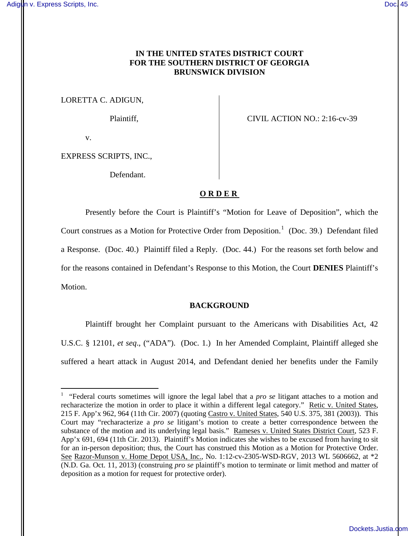# **IN THE UNITED STATES DISTRICT COURT FOR THE SOUTHERN DISTRICT OF GEORGIA BRUNSWICK DIVISION**

LORETTA C. ADIGUN,

Plaintiff, CIVIL ACTION NO.: 2:16-cv-39

v.

 $\overline{a}$ 

EXPRESS SCRIPTS, INC.,

Defendant.

# **ORDER**

Presently before the Court is Plaintiff's "Motion for Leave of Deposition", which the Court construes as a Motion for Protective Order from Deposition.<sup>1</sup> (Doc. 39.) Defendant filed a Response. (Doc. 40.) Plaintiff filed a Reply. (Doc. 44.) For the reasons set forth below and for the reasons contained in Defendant's Response to this Motion, the Court **DENIES** Plaintiff's Motion.

#### **BACKGROUND**

Plaintiff brought her Complaint pursuant to the Americans with Disabilities Act, 42 U.S.C. § 12101, *et seq*., ("ADA"). (Doc. 1.) In her Amended Complaint, Plaintiff alleged she suffered a heart attack in August 2014, and Defendant denied her benefits under the Family

<sup>&</sup>lt;sup>1</sup> "Federal courts sometimes will ignore the legal label that a *pro se* litigant attaches to a motion and recharacterize the motion in order to place it within a different legal category." Retic v. United States, 215 F. App'x 962, 964 (11th Cir. 2007) (quoting Castro v. United States, 540 U.S. 375, 381 (2003)). This Court may "recharacterize a *pro se* litigant's motion to create a better correspondence between the substance of the motion and its underlying legal basis." Rameses v. United States District Court, 523 F. App'x 691, 694 (11th Cir. 2013). Plaintiff's Motion indicates she wishes to be excused from having to sit for an in-person deposition; thus, the Court has construed this Motion as a Motion for Protective Order. See Razor-Munson v. Home Depot USA, Inc., No. 1:12-cv-2305-WSD-RGV, 2013 WL 5606662, at \*2 (N.D. Ga. Oct. 11, 2013) (construing *pro se* plaintiff's motion to terminate or limit method and matter of deposition as a motion for request for protective order).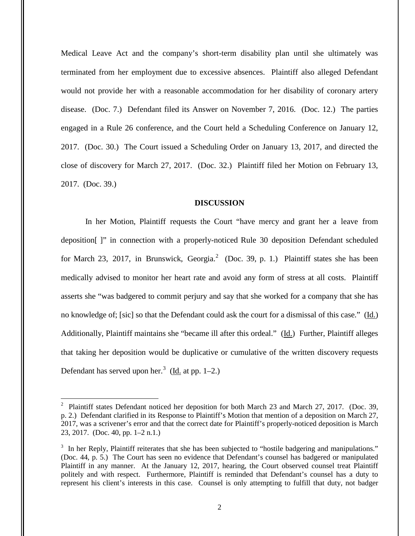Medical Leave Act and the company's short-term disability plan until she ultimately was terminated from her employment due to excessive absences. Plaintiff also alleged Defendant would not provide her with a reasonable accommodation for her disability of coronary artery disease. (Doc. 7.) Defendant filed its Answer on November 7, 2016. (Doc. 12.) The parties engaged in a Rule 26 conference, and the Court held a Scheduling Conference on January 12, 2017. (Doc. 30.) The Court issued a Scheduling Order on January 13, 2017, and directed the close of discovery for March 27, 2017. (Doc. 32.) Plaintiff filed her Motion on February 13, 2017. (Doc. 39.)

#### **DISCUSSION**

In her Motion, Plaintiff requests the Court "have mercy and grant her a leave from deposition[ ]" in connection with a properly-noticed Rule 30 deposition Defendant scheduled for March 23, 2017, in Brunswick, Georgia.<sup>2</sup> (Doc. 39, p. 1.) Plaintiff states she has been medically advised to monitor her heart rate and avoid any form of stress at all costs. Plaintiff asserts she "was badgered to commit perjury and say that she worked for a company that she has no knowledge of; [sic] so that the Defendant could ask the court for a dismissal of this case." (Id.) Additionally, Plaintiff maintains she "became ill after this ordeal." (Id.) Further, Plaintiff alleges that taking her deposition would be duplicative or cumulative of the written discovery requests Defendant has served upon her.<sup>3</sup> ( $\underline{Id}$  at pp. 1–2.)

 $\overline{a}$ 

<sup>&</sup>lt;sup>2</sup> Plaintiff states Defendant noticed her deposition for both March 23 and March 27, 2017. (Doc. 39, p. 2.) Defendant clarified in its Response to Plaintiff's Motion that mention of a deposition on March 27, 2017, was a scrivener's error and that the correct date for Plaintiff's properly-noticed deposition is March 23, 2017. (Doc. 40, pp. 1–2 n.1.)

<sup>&</sup>lt;sup>3</sup> In her Reply, Plaintiff reiterates that she has been subjected to "hostile badgering and manipulations." (Doc. 44, p. 5.) The Court has seen no evidence that Defendant's counsel has badgered or manipulated Plaintiff in any manner. At the January 12, 2017, hearing, the Court observed counsel treat Plaintiff politely and with respect. Furthermore, Plaintiff is reminded that Defendant's counsel has a duty to represent his client's interests in this case. Counsel is only attempting to fulfill that duty, not badger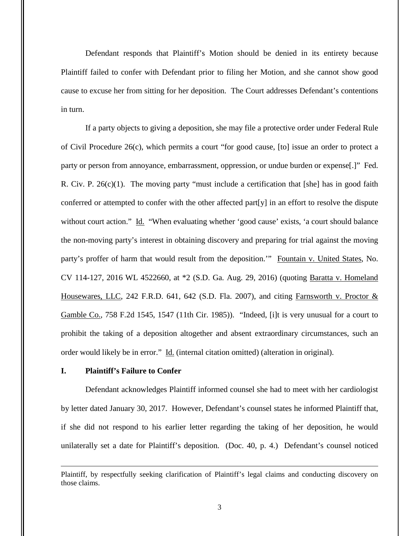Defendant responds that Plaintiff's Motion should be denied in its entirety because Plaintiff failed to confer with Defendant prior to filing her Motion, and she cannot show good cause to excuse her from sitting for her deposition. The Court addresses Defendant's contentions in turn.

 If a party objects to giving a deposition, she may file a protective order under Federal Rule of Civil Procedure 26(c), which permits a court "for good cause, [to] issue an order to protect a party or person from annoyance, embarrassment, oppression, or undue burden or expense[.]" Fed. R. Civ. P.  $26(c)(1)$ . The moving party "must include a certification that [she] has in good faith conferred or attempted to confer with the other affected part[y] in an effort to resolve the dispute without court action." Id. "When evaluating whether 'good cause' exists, 'a court should balance the non-moving party's interest in obtaining discovery and preparing for trial against the moving party's proffer of harm that would result from the deposition."" Fountain v. United States, No. CV 114-127, 2016 WL 4522660, at \*2 (S.D. Ga. Aug. 29, 2016) (quoting Baratta v. Homeland Housewares, LLC, 242 F.R.D. 641, 642 (S.D. Fla. 2007), and citing Farnsworth v. Proctor  $\&$ Gamble Co., 758 F.2d 1545, 1547 (11th Cir. 1985)). "Indeed, [i]t is very unusual for a court to prohibit the taking of a deposition altogether and absent extraordinary circumstances, such an order would likely be in error." Id. (internal citation omitted) (alteration in original).

# **I. Plaintiff's Failure to Confer**

 $\overline{a}$ 

Defendant acknowledges Plaintiff informed counsel she had to meet with her cardiologist by letter dated January 30, 2017. However, Defendant's counsel states he informed Plaintiff that, if she did not respond to his earlier letter regarding the taking of her deposition, he would unilaterally set a date for Plaintiff's deposition. (Doc. 40, p. 4.) Defendant's counsel noticed

Plaintiff, by respectfully seeking clarification of Plaintiff's legal claims and conducting discovery on those claims.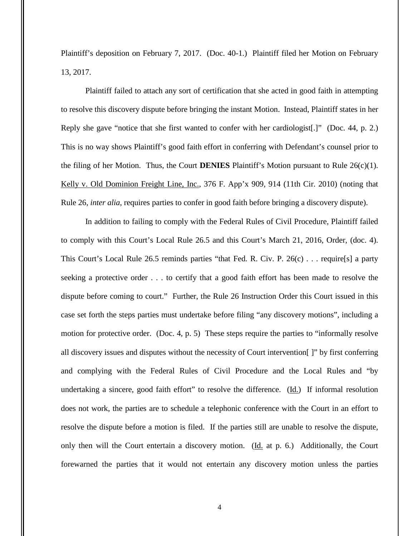Plaintiff's deposition on February 7, 2017. (Doc. 40-1.) Plaintiff filed her Motion on February 13, 2017.

Plaintiff failed to attach any sort of certification that she acted in good faith in attempting to resolve this discovery dispute before bringing the instant Motion. Instead, Plaintiff states in her Reply she gave "notice that she first wanted to confer with her cardiologist.]" (Doc. 44, p. 2.) This is no way shows Plaintiff's good faith effort in conferring with Defendant's counsel prior to the filing of her Motion. Thus, the Court **DENIES** Plaintiff's Motion pursuant to Rule 26(c)(1). Kelly v. Old Dominion Freight Line, Inc., 376 F. App'x 909, 914 (11th Cir. 2010) (noting that Rule 26, *inter alia*, requires parties to confer in good faith before bringing a discovery dispute).

In addition to failing to comply with the Federal Rules of Civil Procedure, Plaintiff failed to comply with this Court's Local Rule 26.5 and this Court's March 21, 2016, Order, (doc. 4). This Court's Local Rule 26.5 reminds parties "that Fed. R. Civ. P. 26(c) . . . require[s] a party seeking a protective order . . . to certify that a good faith effort has been made to resolve the dispute before coming to court." Further, the Rule 26 Instruction Order this Court issued in this case set forth the steps parties must undertake before filing "any discovery motions", including a motion for protective order. (Doc. 4, p. 5) These steps require the parties to "informally resolve all discovery issues and disputes without the necessity of Court intervention[ ]" by first conferring and complying with the Federal Rules of Civil Procedure and the Local Rules and "by undertaking a sincere, good faith effort" to resolve the difference.  $(\underline{Id})$  If informal resolution does not work, the parties are to schedule a telephonic conference with the Court in an effort to resolve the dispute before a motion is filed. If the parties still are unable to resolve the dispute, only then will the Court entertain a discovery motion. (Id. at p. 6.) Additionally, the Court forewarned the parties that it would not entertain any discovery motion unless the parties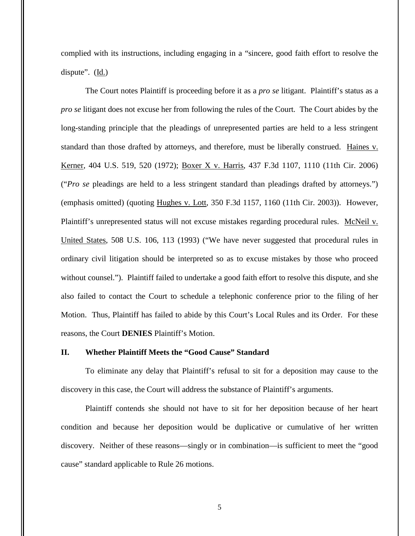complied with its instructions, including engaging in a "sincere, good faith effort to resolve the dispute". (Id.)

The Court notes Plaintiff is proceeding before it as a *pro se* litigant. Plaintiff's status as a *pro se* litigant does not excuse her from following the rules of the Court. The Court abides by the long-standing principle that the pleadings of unrepresented parties are held to a less stringent standard than those drafted by attorneys, and therefore, must be liberally construed. Haines v. Kerner, 404 U.S. 519, 520 (1972); Boxer X v. Harris, 437 F.3d 1107, 1110 (11th Cir. 2006) ("*Pro se* pleadings are held to a less stringent standard than pleadings drafted by attorneys.") (emphasis omitted) (quoting Hughes v. Lott, 350 F.3d 1157, 1160 (11th Cir. 2003)). However, Plaintiff's unrepresented status will not excuse mistakes regarding procedural rules. McNeil v. United States, 508 U.S. 106, 113 (1993) ("We have never suggested that procedural rules in ordinary civil litigation should be interpreted so as to excuse mistakes by those who proceed without counsel."). Plaintiff failed to undertake a good faith effort to resolve this dispute, and she also failed to contact the Court to schedule a telephonic conference prior to the filing of her Motion. Thus, Plaintiff has failed to abide by this Court's Local Rules and its Order. For these reasons, the Court **DENIES** Plaintiff's Motion.

# **II. Whether Plaintiff Meets the "Good Cause" Standard**

To eliminate any delay that Plaintiff's refusal to sit for a deposition may cause to the discovery in this case, the Court will address the substance of Plaintiff's arguments.

Plaintiff contends she should not have to sit for her deposition because of her heart condition and because her deposition would be duplicative or cumulative of her written discovery. Neither of these reasons—singly or in combination—is sufficient to meet the "good cause" standard applicable to Rule 26 motions.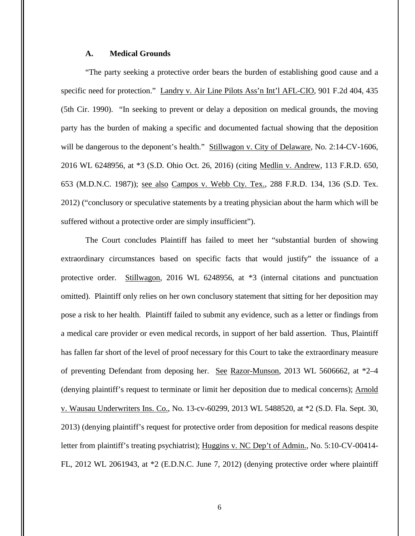# **A. Medical Grounds**

 "The party seeking a protective order bears the burden of establishing good cause and a specific need for protection." Landry v. Air Line Pilots Ass'n Int'l AFL-CIO, 901 F.2d 404, 435 (5th Cir. 1990). "In seeking to prevent or delay a deposition on medical grounds, the moving party has the burden of making a specific and documented factual showing that the deposition will be dangerous to the deponent's health." Stillwagon v. City of Delaware, No. 2:14-CV-1606, 2016 WL 6248956, at \*3 (S.D. Ohio Oct. 26, 2016) (citing Medlin v. Andrew, 113 F.R.D. 650, 653 (M.D.N.C. 1987)); see also Campos v. Webb Cty. Tex., 288 F.R.D. 134, 136 (S.D. Tex. 2012) ("conclusory or speculative statements by a treating physician about the harm which will be suffered without a protective order are simply insufficient").

The Court concludes Plaintiff has failed to meet her "substantial burden of showing extraordinary circumstances based on specific facts that would justify" the issuance of a protective order. Stillwagon, 2016 WL 6248956, at  $*3$  (internal citations and punctuation omitted). Plaintiff only relies on her own conclusory statement that sitting for her deposition may pose a risk to her health. Plaintiff failed to submit any evidence, such as a letter or findings from a medical care provider or even medical records, in support of her bald assertion. Thus, Plaintiff has fallen far short of the level of proof necessary for this Court to take the extraordinary measure of preventing Defendant from deposing her. See Razor-Munson, 2013 WL 5606662, at \*2–4 (denying plaintiff's request to terminate or limit her deposition due to medical concerns); Arnold v. Wausau Underwriters Ins. Co., No. 13-cv-60299, 2013 WL 5488520, at \*2 (S.D. Fla. Sept. 30, 2013) (denying plaintiff's request for protective order from deposition for medical reasons despite letter from plaintiff's treating psychiatrist); Huggins v. NC Dep't of Admin., No. 5:10-CV-00414- FL, 2012 WL 2061943, at \*2 (E.D.N.C. June 7, 2012) (denying protective order where plaintiff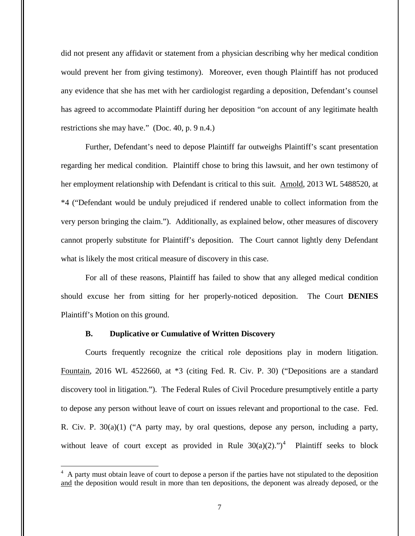did not present any affidavit or statement from a physician describing why her medical condition would prevent her from giving testimony). Moreover, even though Plaintiff has not produced any evidence that she has met with her cardiologist regarding a deposition, Defendant's counsel has agreed to accommodate Plaintiff during her deposition "on account of any legitimate health restrictions she may have." (Doc. 40, p. 9 n.4.)

 Further, Defendant's need to depose Plaintiff far outweighs Plaintiff's scant presentation regarding her medical condition. Plaintiff chose to bring this lawsuit, and her own testimony of her employment relationship with Defendant is critical to this suit. Arnold, 2013 WL 5488520, at \*4 ("Defendant would be unduly prejudiced if rendered unable to collect information from the very person bringing the claim."). Additionally, as explained below, other measures of discovery cannot properly substitute for Plaintiff's deposition. The Court cannot lightly deny Defendant what is likely the most critical measure of discovery in this case.

For all of these reasons, Plaintiff has failed to show that any alleged medical condition should excuse her from sitting for her properly-noticed deposition. The Court **DENIES** Plaintiff's Motion on this ground.

## **B. Duplicative or Cumulative of Written Discovery**

 $\overline{a}$ 

Courts frequently recognize the critical role depositions play in modern litigation. Fountain, 2016 WL 4522660, at \*3 (citing Fed. R. Civ. P. 30) ("Depositions are a standard discovery tool in litigation."). The Federal Rules of Civil Procedure presumptively entitle a party to depose any person without leave of court on issues relevant and proportional to the case. Fed. R. Civ. P. 30(a)(1) ("A party may, by oral questions, depose any person, including a party, without leave of court except as provided in Rule  $30(a)(2)$ .")<sup>4</sup> Plaintiff seeks to block

<sup>&</sup>lt;sup>4</sup> A party must obtain leave of court to depose a person if the parties have not stipulated to the deposition and the deposition would result in more than ten depositions, the deponent was already deposed, or the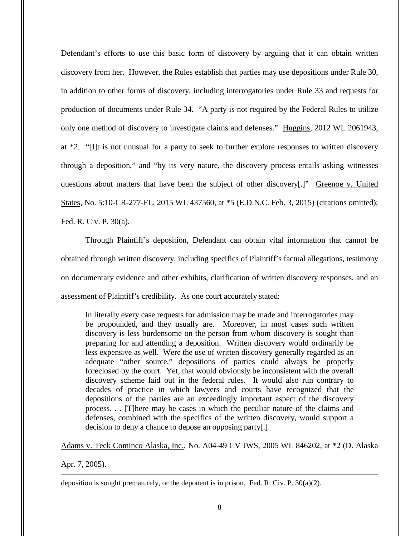Defendant's efforts to use this basic form of discovery by arguing that it can obtain written discovery from her. However, the Rules establish that parties may use depositions under Rule 30, in addition to other forms of discovery, including interrogatories under Rule 33 and requests for production of documents under Rule 34. "A party is not required by the Federal Rules to utilize only one method of discovery to investigate claims and defenses." Huggins, 2012 WL 2061943, at \*2. "[I]t is not unusual for a party to seek to further explore responses to written discovery through a deposition," and "by its very nature, the discovery process entails asking witnesses questions about matters that have been the subject of other discovery[.]" Greenoe v. United States, No. 5:10-CR-277-FL, 2015 WL 437560, at \*5 (E.D.N.C. Feb. 3, 2015) (citations omitted); Fed. R. Civ. P. 30(a).

 Through Plaintiff's deposition, Defendant can obtain vital information that cannot be obtained through written discovery, including specifics of Plaintiff's factual allegations, testimony on documentary evidence and other exhibits, clarification of written discovery responses, and an assessment of Plaintiff's credibility. As one court accurately stated:

In literally every case requests for admission may be made and interrogatories may be propounded, and they usually are. Moreover, in most cases such written discovery is less burdensome on the person from whom discovery is sought than preparing for and attending a deposition. Written discovery would ordinarily be less expensive as well. Were the use of written discovery generally regarded as an adequate "other source," depositions of parties could always be properly foreclosed by the court. Yet, that would obviously be inconsistent with the overall discovery scheme laid out in the federal rules. It would also run contrary to decades of practice in which lawyers and courts have recognized that the depositions of the parties are an exceedingly important aspect of the discovery process. . . [T]here may be cases in which the peculiar nature of the claims and defenses, combined with the specifics of the written discovery, would support a decision to deny a chance to depose an opposing party[.]

Adams v. Teck Cominco Alaska, Inc., No. A04-49 CV JWS, 2005 WL 846202, at \*2 (D. Alaska

Apr. 7, 2005).

 $\overline{a}$ 

deposition is sought prematurely, or the deponent is in prison. Fed. R. Civ. P.  $30(a)(2)$ .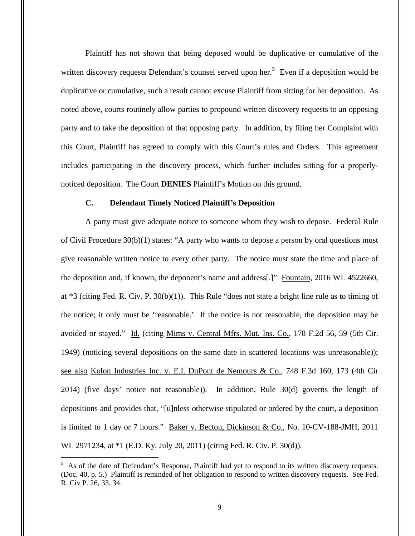Plaintiff has not shown that being deposed would be duplicative or cumulative of the written discovery requests Defendant's counsel served upon her.<sup>5</sup> Even if a deposition would be duplicative or cumulative, such a result cannot excuse Plaintiff from sitting for her deposition. As noted above, courts routinely allow parties to propound written discovery requests to an opposing party and to take the deposition of that opposing party. In addition, by filing her Complaint with this Court, Plaintiff has agreed to comply with this Court's rules and Orders. This agreement includes participating in the discovery process, which further includes sitting for a properlynoticed deposition. The Court **DENIES** Plaintiff's Motion on this ground.

#### **C. Defendant Timely Noticed Plaintiff's Deposition**

 A party must give adequate notice to someone whom they wish to depose. Federal Rule of Civil Procedure 30(b)(1) states: "A party who wants to depose a person by oral questions must give reasonable written notice to every other party. The notice must state the time and place of the deposition and, if known, the deponent's name and address[.]" Fountain, 2016 WL 4522660, at \*3 (citing Fed. R. Civ. P. 30(b)(1)). This Rule "does not state a bright line rule as to timing of the notice; it only must be 'reasonable.' If the notice is not reasonable, the deposition may be avoided or stayed." Id. (citing Mims v. Central Mfrs. Mut. Ins. Co., 178 F.2d 56, 59 (5th Cir. 1949) (noticing several depositions on the same date in scattered locations was unreasonable)); see also Kolon Industries Inc. v. E.I. DuPont de Nemours & Co., 748 F.3d 160, 173 (4th Cir 2014) (five days' notice not reasonable)). In addition, Rule 30(d) governs the length of depositions and provides that, "[u]nless otherwise stipulated or ordered by the court, a deposition is limited to 1 day or 7 hours." Baker v. Becton, Dickinson & Co., No. 10-CV-188-JMH, 2011 WL 2971234, at \*1 (E.D. Ky. July 20, 2011) (citing Fed. R. Civ. P. 30(d)).

 $\overline{a}$ 

<sup>&</sup>lt;sup>5</sup> As of the date of Defendant's Response, Plaintiff had yet to respond to its written discovery requests. (Doc. 40, p. 5.) Plaintiff is reminded of her obligation to respond to written discovery requests. See Fed. R. Civ P. 26, 33, 34.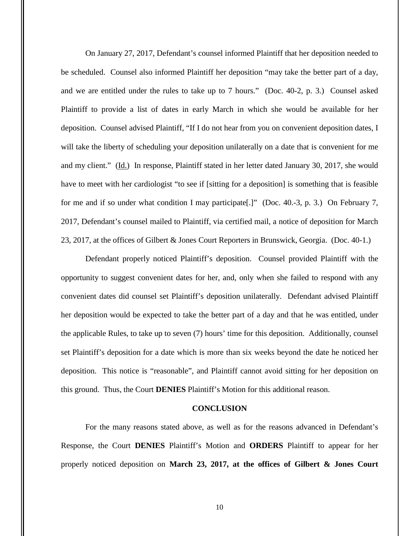On January 27, 2017, Defendant's counsel informed Plaintiff that her deposition needed to be scheduled. Counsel also informed Plaintiff her deposition "may take the better part of a day, and we are entitled under the rules to take up to 7 hours." (Doc. 40-2, p. 3.) Counsel asked Plaintiff to provide a list of dates in early March in which she would be available for her deposition. Counsel advised Plaintiff, "If I do not hear from you on convenient deposition dates, I will take the liberty of scheduling your deposition unilaterally on a date that is convenient for me and my client." (Id.) In response, Plaintiff stated in her letter dated January 30, 2017, she would have to meet with her cardiologist "to see if [sitting for a deposition] is something that is feasible for me and if so under what condition I may participate[.]" (Doc. 40.-3, p. 3.) On February 7, 2017, Defendant's counsel mailed to Plaintiff, via certified mail, a notice of deposition for March 23, 2017, at the offices of Gilbert & Jones Court Reporters in Brunswick, Georgia. (Doc. 40-1.)

Defendant properly noticed Plaintiff's deposition. Counsel provided Plaintiff with the opportunity to suggest convenient dates for her, and, only when she failed to respond with any convenient dates did counsel set Plaintiff's deposition unilaterally. Defendant advised Plaintiff her deposition would be expected to take the better part of a day and that he was entitled, under the applicable Rules, to take up to seven (7) hours' time for this deposition. Additionally, counsel set Plaintiff's deposition for a date which is more than six weeks beyond the date he noticed her deposition. This notice is "reasonable", and Plaintiff cannot avoid sitting for her deposition on this ground. Thus, the Court **DENIES** Plaintiff's Motion for this additional reason.

### **CONCLUSION**

For the many reasons stated above, as well as for the reasons advanced in Defendant's Response, the Court **DENIES** Plaintiff's Motion and **ORDERS** Plaintiff to appear for her properly noticed deposition on **March 23, 2017, at the offices of Gilbert & Jones Court**